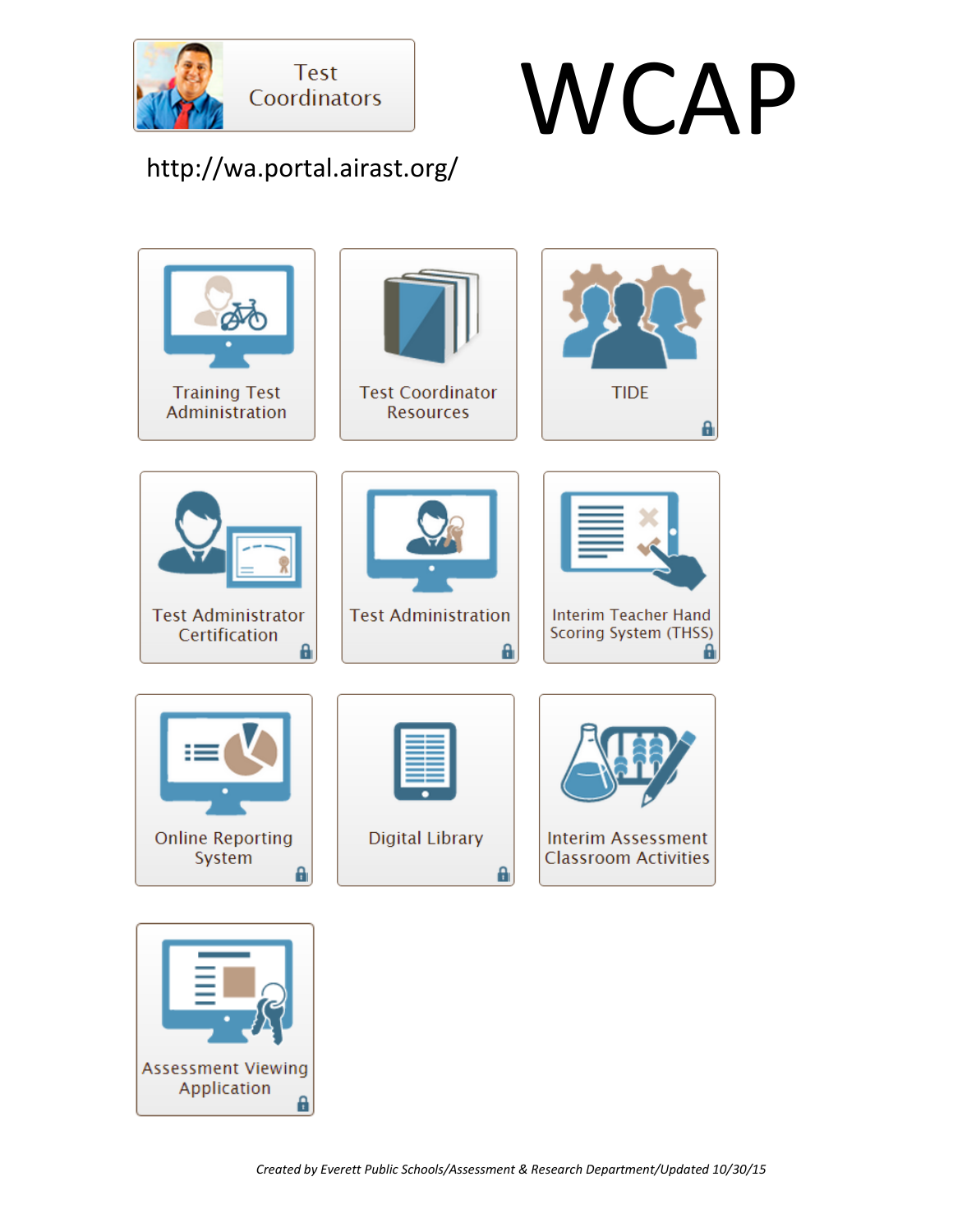

Application

a



http://wa.portal.airast.org/